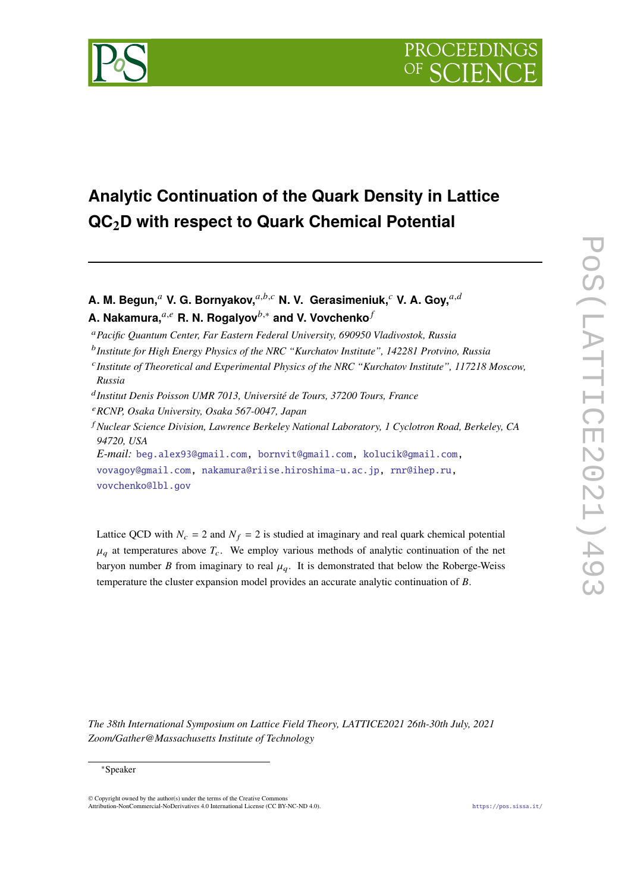

# **Analytic Continuation of the Quark Density in Lattice QC2D with respect to Quark Chemical Potential**

A. M. Begun,<sup>a</sup> V. G. Bornyakov,<sup>a,b,c</sup> N. V. Gerasimeniuk,<sup>c</sup> V. A. Gov,<sup>a,d</sup> **A. Nakamura,**<sup>a,e</sup> R. N. Rogalyov<sup>b,∗</sup> and V. Vovchenko<sup>*f*</sup>

- *Pacific Quantum Center, Far Eastern Federal University, 690950 Vladivostok, Russia*
- *Institute for High Energy Physics of the NRC "Kurchatov Institute", 142281 Protvino, Russia*
- *Institute of Theoretical and Experimental Physics of the NRC "Kurchatov Institute", 117218 Moscow, Russia*
- *Institut Denis Poisson UMR 7013, Université de Tours, 37200 Tours, France*
- *RCNP, Osaka University, Osaka 567-0047, Japan*
- *Nuclear Science Division, Lawrence Berkeley National Laboratory, 1 Cyclotron Road, Berkeley, CA 94720, USA*

*E-mail:* [beg.alex93@gmail.com,](mailto:beg.alex93@gmail.com) [bornvit@gmail.com,](mailto:bornvit@gmail.com) [kolucik@gmail.com,](mailto:kolucik@gmail.com) [vovagoy@gmail.com,](mailto:vovagoy@gmail.com) [nakamura@riise.hiroshima-u.ac.jp,](mailto:nakamura@riise.hiroshima-u.ac.jp) [rnr@ihep.ru,](mailto:rnr@ihep.ru) [vovchenko@lbl.gov](mailto:vovchenko@lbl.gov)

Lattice QCD with  $N_c = 2$  and  $N_f = 2$  is studied at imaginary and real quark chemical potential  $\mu_a$  at temperatures above  $T_c$ . We employ various methods of analytic continuation of the net baryon number *B* from imaginary to real  $\mu_q$ . It is demonstrated that below the Roberge-Weiss temperature the cluster expansion model provides an accurate analytic continuation of  $B$ .

*The 38th International Symposium on Lattice Field Theory, LATTICE2021 26th-30th July, 2021 Zoom/Gather@Massachusetts Institute of Technology*

<sup>∗</sup>Speaker

<sup>©</sup> Copyright owned by the author(s) under the terms of the Creative Commons Attribution-NonCommercial-NoDerivatives 4.0 International License (CC BY-NC-ND 4.0). <https://pos.sissa.it/>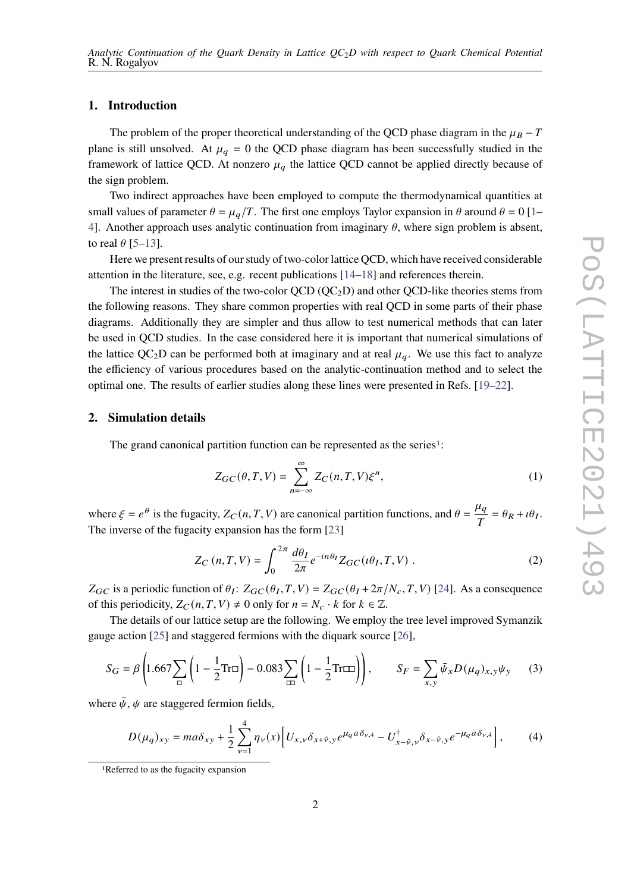### **1. Introduction**

The problem of the proper theoretical understanding of the QCD phase diagram in the  $\mu_B - T$ plane is still unsolved. At  $\mu_q = 0$  the QCD phase diagram has been successfully studied in the framework of lattice QCD. At nonzero  $\mu_q$  the lattice QCD cannot be applied directly because of the sign problem.

Two indirect approaches have been employed to compute the thermodynamical quantities at small values of parameter  $\theta = \mu_a/T$ . The first one employs Taylor expansion in  $\theta$  around  $\theta = 0$  [\[1–](#page-7-0) [4\]](#page-7-1). Another approach uses analytic continuation from imaginary  $\theta$ , where sign problem is absent, to real  $\theta$  [\[5](#page-8-0)[–13\]](#page-8-1).

Here we present results of our study of two-color lattice QCD, which have received considerable attention in the literature, see, e.g. recent publications [\[14](#page-8-2)[–18\]](#page-8-3) and references therein.

The interest in studies of the two-color QCD ( $\rm{OC}_2$ D) and other QCD-like theories stems from the following reasons. They share common properties with real QCD in some parts of their phase diagrams. Additionally they are simpler and thus allow to test numerical methods that can later be used in QCD studies. In the case considered here it is important that numerical simulations of the lattice QC<sub>2</sub>D can be performed both at imaginary and at real  $\mu_a$ . We use this fact to analyze the efficiency of various procedures based on the analytic-continuation method and to select the optimal one. The results of earlier studies along these lines were presented in Refs. [\[19–](#page-8-4)[22\]](#page-8-5).

## **2. Simulation details**

The grand canonical partition function can be represented as the series<sup>[1](#page-1-0)</sup>:

<span id="page-1-1"></span>
$$
Z_{GC}(\theta, T, V) = \sum_{n=-\infty}^{\infty} Z_C(n, T, V) \xi^n,
$$
\n(1)

where  $\xi = e^{\theta}$  is the fugacity,  $Z_C(n, T, V)$  are canonical partition functions, and  $\theta =$  $\mu_a$  $\frac{u_q}{T} = \theta_R + i\theta_I.$ The inverse of the fugacity expansion has the form [\[23\]](#page-9-0)

<span id="page-1-2"></span>
$$
Z_C(n, T, V) = \int_0^{2\pi} \frac{d\theta_I}{2\pi} e^{-in\theta_I} Z_{GC}(\iota\theta_I, T, V) . \tag{2}
$$

 $Z_{GC}$  is a periodic function of  $\theta_I$ :  $Z_{GC}(\theta_I, T, V) = Z_{GC}(\theta_I + 2\pi/N_c, T, V)$  [\[24\]](#page-9-1). As a consequence of this periodicity,  $Z_C(n, T, V) \neq 0$  only for  $n = N_c \cdot k$  for  $k \in \mathbb{Z}$ .

The details of our lattice setup are the following. We employ the tree level improved Symanzik gauge action [\[25\]](#page-9-2) and staggered fermions with the diquark source [\[26\]](#page-9-3),

$$
S_G = \beta \left( 1.667 \sum_{\square} \left( 1 - \frac{1}{2} \text{Tr} \square \right) - 0.083 \sum_{\square} \left( 1 - \frac{1}{2} \text{Tr} \square \right) \right), \qquad S_F = \sum_{x,y} \bar{\psi}_x D(\mu_q)_{x,y} \psi_y \tag{3}
$$

where  $\bar{\psi}$ ,  $\psi$  are staggered fermion fields,

$$
D(\mu_q)_{xy} = ma\delta_{xy} + \frac{1}{2}\sum_{\nu=1}^4 \eta_{\nu}(x) \Big[ U_{x,\nu}\delta_{x+\hat{\nu},y}e^{\mu_q a\delta_{\nu,4}} - U_{x-\hat{\nu},\nu}^{\dagger}\delta_{x-\hat{\nu},y}e^{-\mu_q a\delta_{\nu,4}} \Big],\tag{4}
$$

<span id="page-1-0"></span><sup>1</sup>Referred to as the fugacity expansion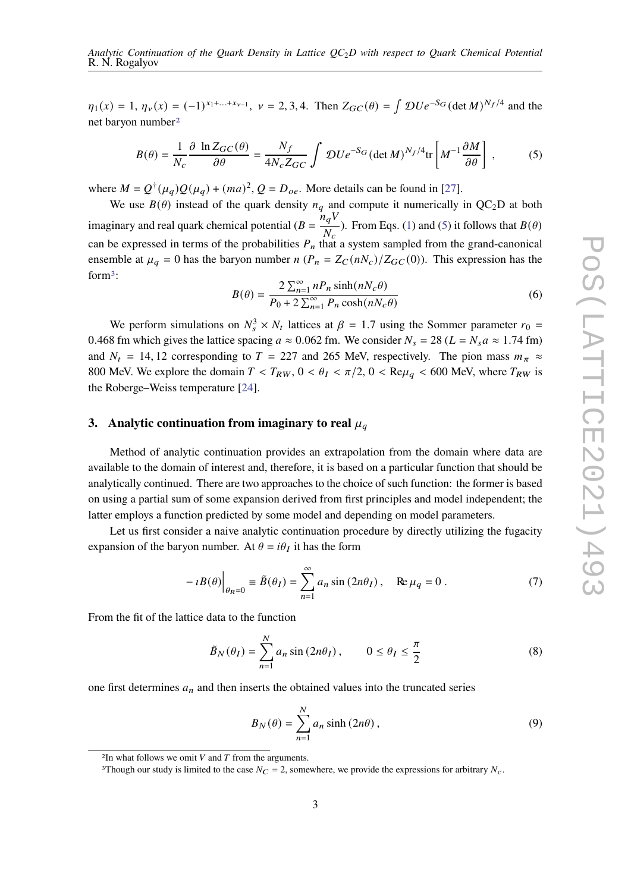$\eta_1(x) = 1$ ,  $\eta_v(x) = (-1)^{x_1 + ... + x_{v-1}}$ ,  $v = 2, 3, 4$ . Then  $Z_{GC}(\theta) = \int \mathcal{D}U e^{-S_G} (\det M)^{N_f/4}$  and the net baryon number[2](#page-2-0)

<span id="page-2-1"></span>
$$
B(\theta) = \frac{1}{N_c} \frac{\partial \ln Z_{GC}(\theta)}{\partial \theta} = \frac{N_f}{4N_c Z_{GC}} \int \mathcal{D}U e^{-S_G} (\det M)^{N_f/4} \text{tr} \left[ M^{-1} \frac{\partial M}{\partial \theta} \right],\tag{5}
$$

where  $M = Q^{\dagger}(\mu_q)Q(\mu_q) + (ma)^2$ ,  $Q = D_{oe}$ . More details can be found in [\[27\]](#page-9-4).

We use  $B(\theta)$  instead of the quark density  $n_q$  and compute it numerically in QC<sub>2</sub>D at both imaginary and real quark chemical potential  $(B =$  $n_a V$  $\frac{k_q \nu}{N_c}$ ). From Eqs. [\(1\)](#page-1-1) and [\(5\)](#page-2-1) it follows that  $B(\theta)$ can be expressed in terms of the probabilities  $P_n$  that a system sampled from the grand-canonical ensemble at  $\mu_q = 0$  has the baryon number  $n (P_n = Z_C(nN_c)/Z_{GC}(0))$ . This expression has the form[3](#page-2-2):

<span id="page-2-3"></span>
$$
B(\theta) = \frac{2\sum_{n=1}^{\infty} n_n \sinh(nN_c\theta)}{P_0 + 2\sum_{n=1}^{\infty} P_n \cosh(nN_c\theta)}
$$
(6)

We perform simulations on  $N_s^3 \times N_t$  lattices at  $\beta = 1.7$  using the Sommer parameter  $r_0 =$ 0.468 fm which gives the lattice spacing  $a \approx 0.062$  fm. We consider  $N_s = 28$  ( $L = N_s a \approx 1.74$  fm) and  $N_t = 14, 12$  corresponding to  $T = 227$  and 265 MeV, respectively. The pion mass  $m_{\pi} \approx$ 800 MeV. We explore the domain  $T < T_{RW}$ ,  $0 < \theta_I < \pi/2$ ,  $0 < \text{Re}\mu_a < 600$  MeV, where  $T_{RW}$  is the Roberge–Weiss temperature [\[24\]](#page-9-1).

# **3.** Analytic continuation from imaginary to real  $\mu_a$

Method of analytic continuation provides an extrapolation from the domain where data are available to the domain of interest and, therefore, it is based on a particular function that should be analytically continued. There are two approaches to the choice of such function: the former is based on using a partial sum of some expansion derived from first principles and model independent; the latter employs a function predicted by some model and depending on model parameters.

Let us first consider a naive analytic continuation procedure by directly utilizing the fugacity expansion of the baryon number. At  $\theta = i\theta_I$  it has the form

<span id="page-2-5"></span>
$$
-iB(\theta)\Big|_{\theta_R=0} \equiv \tilde{B}(\theta_I) = \sum_{n=1}^{\infty} a_n \sin(2n\theta_I), \quad \text{Re}\,\mu_q = 0 \,. \tag{7}
$$

From the fit of the lattice data to the function

<span id="page-2-4"></span>
$$
\tilde{B}_N(\theta_I) = \sum_{n=1}^N a_n \sin(2n\theta_I), \qquad 0 \le \theta_I \le \frac{\pi}{2}
$$
\n(8)

one first determines  $a_n$  and then inserts the obtained values into the truncated series

$$
B_N(\theta) = \sum_{n=1}^{N} a_n \sinh(2n\theta), \qquad (9)
$$

<span id="page-2-0"></span><sup>&</sup>lt;sup>2</sup>In what follows we omit  $V$  and  $T$  from the arguments.

<span id="page-2-2"></span><sup>&</sup>lt;sup>3</sup>Though our study is limited to the case  $N_C = 2$ , somewhere, we provide the expressions for arbitrary  $N_C$ .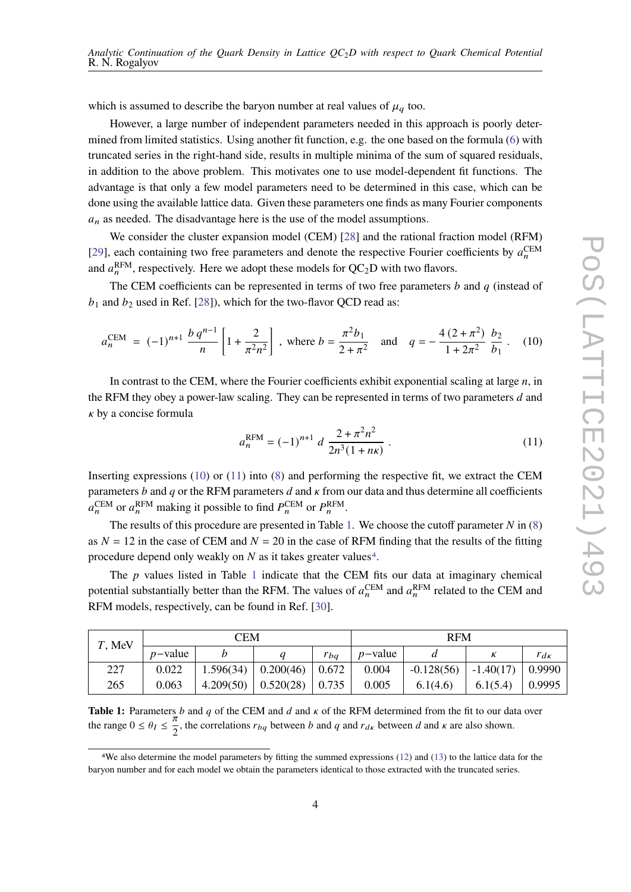which is assumed to describe the baryon number at real values of  $\mu_q$  too.

However, a large number of independent parameters needed in this approach is poorly determined from limited statistics. Using another fit function, e.g. the one based on the formula [\(6\)](#page-2-3) with truncated series in the right-hand side, results in multiple minima of the sum of squared residuals, in addition to the above problem. This motivates one to use model-dependent fit functions. The advantage is that only a few model parameters need to be determined in this case, which can be done using the available lattice data. Given these parameters one finds as many Fourier components  $a_n$  as needed. The disadvantage here is the use of the model assumptions.

We consider the cluster expansion model (CEM) [\[28\]](#page-9-5) and the rational fraction model (RFM) [\[29\]](#page-9-6), each containing two free parameters and denote the respective Fourier coefficients by  $a_n^{\text{CEM}}$ and  $a_n^{\text{RFM}}$ , respectively. Here we adopt these models for  $QC_2D$  with two flavors.

The CEM coefficients can be represented in terms of two free parameters  $b$  and  $q$  (instead of  $b_1$  and  $b_2$  used in Ref. [\[28\]](#page-9-5)), which for the two-flavor QCD read as:

<span id="page-3-0"></span>
$$
a_n^{\text{CEM}} = (-1)^{n+1} \frac{b q^{n-1}}{n} \left[ 1 + \frac{2}{\pi^2 n^2} \right], \text{ where } b = \frac{\pi^2 b_1}{2 + \pi^2} \text{ and } q = -\frac{4(2 + \pi^2)}{1 + 2\pi^2} \frac{b_2}{b_1}. \quad (10)
$$

In contrast to the CEM, where the Fourier coefficients exhibit exponential scaling at large  $n$ , in the RFM they obey a power-law scaling. They can be represented in terms of two parameters d and  $\kappa$  by a concise formula

<span id="page-3-1"></span>
$$
a_n^{\text{RFM}} = (-1)^{n+1} d \frac{2 + \pi^2 n^2}{2n^3 (1 + n\kappa)} .
$$
 (11)

Inserting expressions  $(10)$  or  $(11)$  into  $(8)$  and performing the respective fit, we extract the CEM parameters  $b$  and  $q$  or the RFM parameters  $d$  and  $\kappa$  from our data and thus determine all coefficients  $a_n^{\text{CEM}}$  or  $a_n^{\text{RFM}}$  making it possible to find  $P_n^{\text{CEM}}$  or  $P_n^{\text{RFM}}$ .

The results of this procedure are presented in Table [1.](#page-3-2) We choose the cutoff parameter  $N$  in [\(8\)](#page-2-4) as  $N = 12$  in the case of CEM and  $N = 20$  in the case of RFM finding that the results of the fitting procedure depend only weakly on  $N$  as it takes greater values<sup>[4](#page-3-3)</sup>.

The  $p$  values listed in Table [1](#page-3-2) indicate that the CEM fits our data at imaginary chemical potential substantially better than the RFM. The values of  $a_n^{\text{CEM}}$  and  $a_n^{\text{RFM}}$  related to the CEM and RFM models, respectively, can be found in Ref. [\[30\]](#page-9-7).

<span id="page-3-2"></span>

| T, MeV | CEM        |  |                                 |                     | <b>RFM</b> |              |             |               |
|--------|------------|--|---------------------------------|---------------------|------------|--------------|-------------|---------------|
|        | $p$ -value |  |                                 | $r_{ba}$            | $p$ -value |              |             | $r_{d\kappa}$ |
| 227    | 0.022      |  | $1.596(34)$   0.200(46)   0.672 |                     | 0.004      | $-0.128(56)$ | $-1.40(17)$ | 0.9990        |
| 265    | 0.063      |  | $4.209(50)$ 0.520(28)           | $\vert 0.735 \vert$ | 0.005      | 6.1(4.6)     | 6.1(5.4)    | 0.9995        |

**Table 1:** Parameters  $b$  and  $q$  of the CEM and  $d$  and  $\kappa$  of the RFM determined from the fit to our data over the range  $0 \le \theta_I \le \frac{\pi}{2}$ , the correlations  $r_{bq}$  between b and q and  $r_{d\kappa}$  between d and  $\kappa$  are also shown.

<span id="page-3-3"></span><sup>4</sup>We also determine the model parameters by fitting the summed expressions [\(12\)](#page-4-0) and [\(13\)](#page-4-1) to the lattice data for the baryon number and for each model we obtain the parameters identical to those extracted with the truncated series.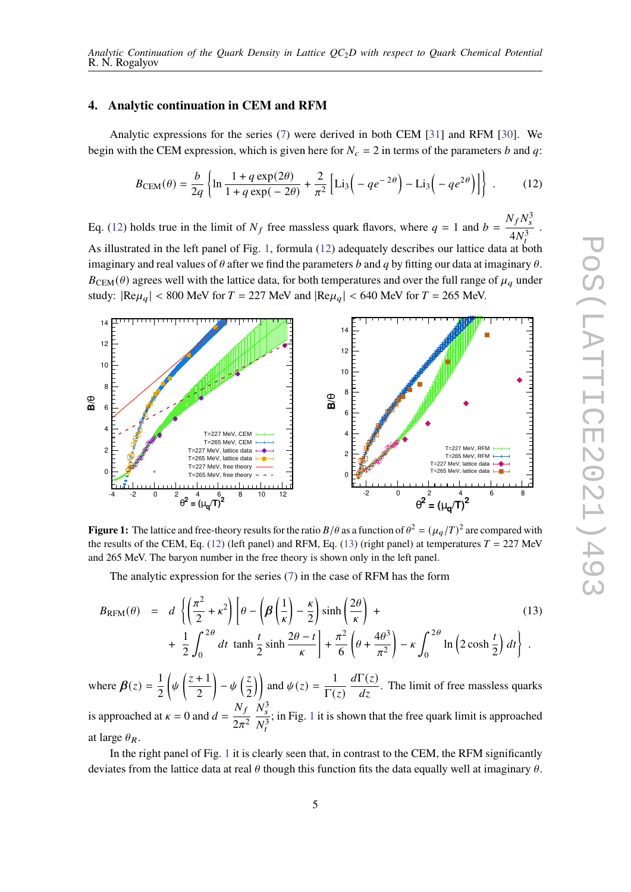#### **4. Analytic continuation in CEM and RFM**

Analytic expressions for the series [\(7\)](#page-2-5) were derived in both CEM [\[31\]](#page-9-8) and RFM [\[30\]](#page-9-7). We begin with the CEM expression, which is given here for  $N_c = 2$  in terms of the parameters b and q:

<span id="page-4-0"></span>
$$
B_{\text{CEM}}(\theta) = \frac{b}{2q} \left\{ \ln \frac{1 + q \exp(2\theta)}{1 + q \exp(-2\theta)} + \frac{2}{\pi^2} \left[ \text{Li}_3\left( -q e^{-2\theta} \right) - \text{Li}_3\left( -q e^{2\theta} \right) \right] \right\}.
$$
 (12)

Eq. [\(12\)](#page-4-0) holds true in the limit of  $N_f$  free massless quark flavors, where  $q = 1$  and  $b =$  $N_f N_s^3$  $4N_t^3$ . As illustrated in the left panel of Fig. [1,](#page-4-2) formula [\(12\)](#page-4-0) adequately describes our lattice data at both imaginary and real values of  $\theta$  after we find the parameters b and q by fitting our data at imaginary  $\theta$ .  $B<sub>CEM</sub>( $\theta$ ) agrees well with the lattice data, for both temperatures and over the full range of  $\mu_q$  under$ study:  $|Re\mu_a| < 800$  MeV for  $T = 227$  MeV and  $|Re\mu_a| < 640$  MeV for  $T = 265$  MeV.

<span id="page-4-2"></span>

**Figure 1:** The lattice and free-theory results for the ratio  $B/\theta$  as a function of  $\theta^2 = (\mu_q/T)^2$  are compared with the results of the CEM, Eq. [\(12\)](#page-4-0) (left panel) and RFM, Eq. [\(13\)](#page-4-1) (right panel) at temperatures  $T = 227$  MeV and 265 MeV. The baryon number in the free theory is shown only in the left panel.

The analytic expression for the series [\(7\)](#page-2-5) in the case of RFM has the form

<span id="page-4-1"></span>
$$
B_{\text{RFM}}(\theta) = d \left\{ \left( \frac{\pi^2}{2} + \kappa^2 \right) \left[ \theta - \left( \beta \left( \frac{1}{\kappa} \right) - \frac{\kappa}{2} \right) \sinh \left( \frac{2\theta}{\kappa} \right) + \frac{1}{2} \int_0^{2\theta} dt \tanh \frac{t}{2} \sinh \frac{2\theta - t}{\kappa} \right] + \frac{\pi^2}{6} \left( \theta + \frac{4\theta^3}{\pi^2} \right) - \kappa \int_0^{2\theta} \ln \left( 2 \cosh \frac{t}{2} \right) dt \right\}.
$$
 (13)

where  $\beta(z) = \frac{1}{2}$ 2  $\int_{\psi} \left( \frac{z+1}{z+1} \right)$ 2  $-\psi\left(\frac{z}{2}\right)$ 2 ) and  $\psi(z) = \frac{1}{\Gamma(z)}$  $\overline{\Gamma(z)}$  $d\Gamma(z)$  $\frac{d(x)}{dz}$ . The limit of free massless quarks is approached at  $\kappa = 0$  and  $d =$  $N_t$  $\overline{2\pi^2}$  $N_s^3$  $N_t^3$ ; in Fig. [1](#page-4-2) it is shown that the free quark limit is approached at large  $\theta_R$ .

In the right panel of Fig. [1](#page-4-2) it is clearly seen that, in contrast to the CEM, the RFM significantly deviates from the lattice data at real  $\theta$  though this function fits the data equally well at imaginary  $\theta$ .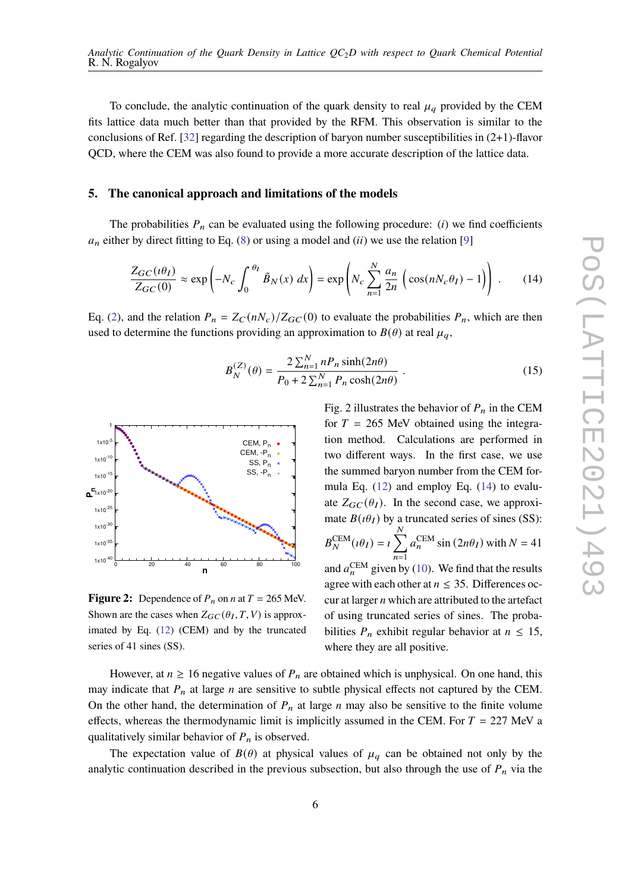To conclude, the analytic continuation of the quark density to real  $\mu_a$  provided by the CEM fits lattice data much better than that provided by the RFM. This observation is similar to the conclusions of Ref. [\[32\]](#page-9-9) regarding the description of baryon number susceptibilities in  $(2+1)$ -flavor QCD, where the CEM was also found to provide a more accurate description of the lattice data.

#### **5. The canonical approach and limitations of the models**

The probabilities  $P_n$  can be evaluated using the following procedure: (i) we find coefficients  $a_n$  either by direct fitting to Eq. [\(8\)](#page-2-4) or using a model and (*ii*) we use the relation [\[9\]](#page-8-6)

<span id="page-5-0"></span>
$$
\frac{Z_{GC}(i\theta_I)}{Z_{GC}(0)} \approx \exp\left(-N_c \int_0^{\theta_I} \tilde{B}_N(x) dx\right) = \exp\left(N_c \sum_{n=1}^N \frac{a_n}{2n} \left(\cos(nN_c \theta_I) - 1\right)\right).
$$
 (14)

Eq. [\(2\)](#page-1-2), and the relation  $P_n = Z_C(nN_c)/Z_{GC}(0)$  to evaluate the probabilities  $P_n$ , which are then used to determine the functions providing an approximation to  $B(\theta)$  at real  $\mu_q$ ,

<span id="page-5-1"></span>
$$
B_N^{(Z)}(\theta) = \frac{2 \sum_{n=1}^N n P_n \sinh(2n\theta)}{P_0 + 2 \sum_{n=1}^N P_n \cosh(2n\theta)}.
$$
 (15)



**Figure 2:** Dependence of  $P_n$  on  $n$  at  $T = 265$  MeV. Shown are the cases when  $Z_{GC}(\theta_I, T, V)$  is approximated by Eq. [\(12\)](#page-4-0) (CEM) and by the truncated series of 41 sines (SS).

Fig. 2 illustrates the behavior of  $P_n$  in the CEM for  $T = 265$  MeV obtained using the integration method. Calculations are performed in two different ways. In the first case, we use the summed baryon number from the CEM formula Eq. [\(12\)](#page-4-0) and employ Eq. [\(14\)](#page-5-0) to evaluate  $Z_{GC}(\theta_I)$ . In the second case, we approximate  $B(\iota \theta_I)$  by a truncated series of sines (SS):  $B_N^{\text{CEM}}(\iota \theta_I) = \iota \sum_I$  $\overline{N}$  $\overline{n=1}$  $a_n^{\text{CEM}}$  sin  $(2n\theta_I)$  with  $N = 41$ and  $a_n^{\text{CEM}}$  given by [\(10\)](#page-3-0). We find that the results agree with each other at  $n \leq 35$ . Differences occur at larger  $n$  which are attributed to the artefact of using truncated series of sines. The probabilities  $P_n$  exhibit regular behavior at  $n \leq 15$ , where they are all positive.

However, at  $n \ge 16$  negative values of  $P_n$  are obtained which is unphysical. On one hand, this may indicate that  $P_n$  at large  $n$  are sensitive to subtle physical effects not captured by the CEM. On the other hand, the determination of  $P_n$  at large  $n$  may also be sensitive to the finite volume effects, whereas the thermodynamic limit is implicitly assumed in the CEM. For  $T = 227$  MeV a qualitatively similar behavior of  $P_n$  is observed.

The expectation value of  $B(\theta)$  at physical values of  $\mu_a$  can be obtained not only by the analytic continuation described in the previous subsection, but also through the use of  $P_n$  via the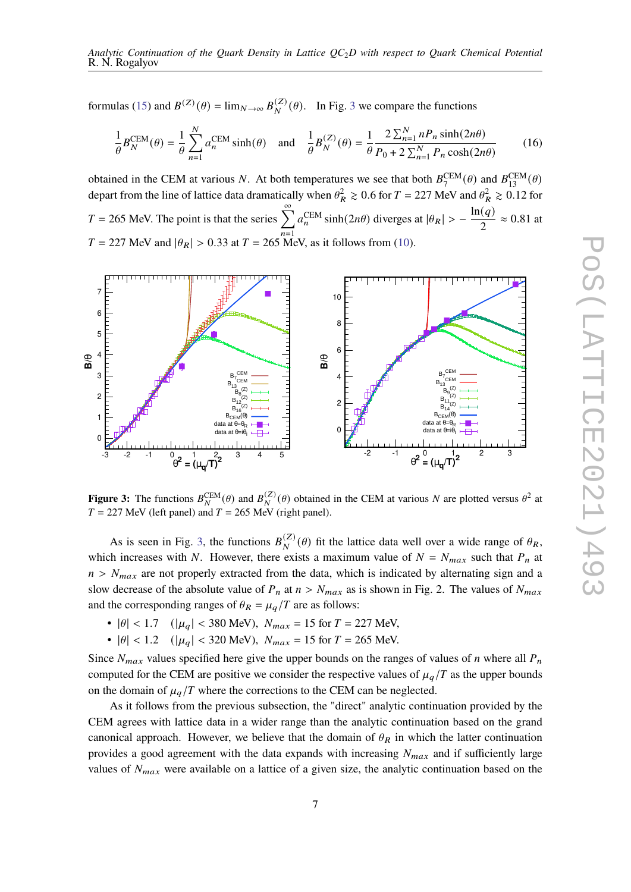formulas [\(15\)](#page-5-1) and  $B^{(Z)}(\theta) = \lim_{N \to \infty} B_N^{(Z)}(\theta)$ . In Fig. [3](#page-6-0) we compare the functions

$$
\frac{1}{\theta}B_N^{\text{CEM}}(\theta) = \frac{1}{\theta} \sum_{n=1}^N a_n^{\text{CEM}} \sinh(\theta) \quad \text{and} \quad \frac{1}{\theta}B_N^{(Z)}(\theta) = \frac{1}{\theta} \frac{2 \sum_{n=1}^N n P_n \sinh(2n\theta)}{P_0 + 2 \sum_{n=1}^N P_n \cosh(2n\theta)} \tag{16}
$$

obtained in the CEM at various N. At both temperatures we see that both  $B_7^{\text{CEM}}(\theta)$  and  $B_{13}^{\text{CEM}}(\theta)$ depart from the line of lattice data dramatically when  $\theta_R^2 \ge 0.6$  for  $T = 227$  MeV and  $\theta_R^2 \ge 0.12$  for  $T = 265$  MeV. The point is that the series  $\sum_{n=1}^{\infty}$  $\overline{n=1}$  $a_n^{\text{CEM}}$  sinh(2*n* $\theta$ ) diverges at  $|\theta_R| > -\frac{\ln(q)}{2}$  $\frac{(q)}{2} \approx 0.81$  at  $T = 227$  MeV and  $|\theta_R| > 0.33$  at  $T = 265$  MeV, as it follows from [\(10\)](#page-3-0).

<span id="page-6-0"></span>

**Figure 3:** The functions  $B_N^{\text{CEM}}(\theta)$  and  $B_N^{(Z)}(\theta)$  obtained in the CEM at various N are plotted versus  $\theta^2$  at  $T = 227$  MeV (left panel) and  $T = 265$  MeV (right panel).

As is seen in Fig. [3,](#page-6-0) the functions  $B_N^{(Z)}(\theta)$  fit the lattice data well over a wide range of  $\theta_R$ , which increases with N. However, there exists a maximum value of  $N = N_{max}$  such that  $P_n$  at  $n > N_{max}$  are not properly extracted from the data, which is indicated by alternating sign and a slow decrease of the absolute value of  $P_n$  at  $n > N_{max}$  as is shown in Fig. 2. The values of  $N_{max}$ and the corresponding ranges of  $\theta_R = \mu_q/T$  are as follows:

- $|\theta|$  < 1.7 ( $|\mu_q|$  < 380 MeV),  $N_{max}$  = 15 for  $T$  = 227 MeV,
- $|\theta|$  < 1.2 ( $|\mu_q|$  < 320 MeV),  $N_{max}$  = 15 for  $T = 265$  MeV.

Since  $N_{max}$  values specified here give the upper bounds on the ranges of values of *n* where all  $P_n$ computed for the CEM are positive we consider the respective values of  $\mu_q/T$  as the upper bounds on the domain of  $\mu_a/T$  where the corrections to the CEM can be neglected.

As it follows from the previous subsection, the "direct" analytic continuation provided by the CEM agrees with lattice data in a wider range than the analytic continuation based on the grand canonical approach. However, we believe that the domain of  $\theta_R$  in which the latter continuation provides a good agreement with the data expands with increasing  $N_{max}$  and if sufficiently large values of  $N_{max}$  were available on a lattice of a given size, the analytic continuation based on the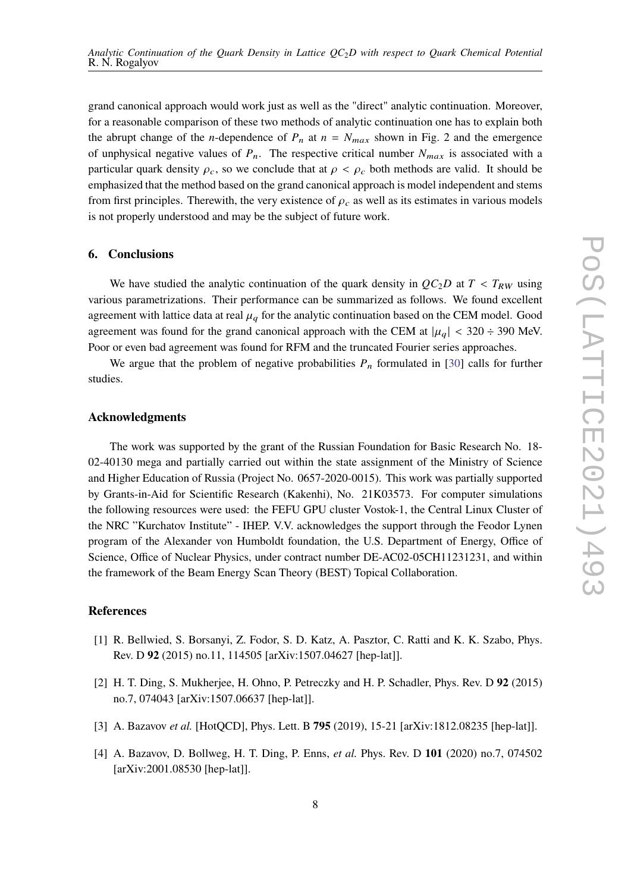grand canonical approach would work just as well as the "direct" analytic continuation. Moreover, for a reasonable comparison of these two methods of analytic continuation one has to explain both the abrupt change of the *n*-dependence of  $P_n$  at  $n = N_{max}$  shown in Fig. 2 and the emergence of unphysical negative values of  $P_n$ . The respective critical number  $N_{max}$  is associated with a particular quark density  $\rho_c$ , so we conclude that at  $\rho < \rho_c$  both methods are valid. It should be emphasized that the method based on the grand canonical approach is model independent and stems from first principles. Therewith, the very existence of  $\rho_c$  as well as its estimates in various models is not properly understood and may be the subject of future work.

### **6. Conclusions**

We have studied the analytic continuation of the quark density in  $QC_2D$  at  $T < T_{RW}$  using various parametrizations. Their performance can be summarized as follows. We found excellent agreement with lattice data at real  $\mu_q$  for the analytic continuation based on the CEM model. Good agreement was found for the grand canonical approach with the CEM at  $|\mu_q| < 320 \div 390$  MeV. Poor or even bad agreement was found for RFM and the truncated Fourier series approaches.

We argue that the problem of negative probabilities  $P_n$  formulated in [\[30\]](#page-9-7) calls for further studies.

#### **Acknowledgments**

The work was supported by the grant of the Russian Foundation for Basic Research No. 18- 02-40130 mega and partially carried out within the state assignment of the Ministry of Science and Higher Education of Russia (Project No. 0657-2020-0015). This work was partially supported by Grants-in-Aid for Scientific Research (Kakenhi), No. 21K03573. For computer simulations the following resources were used: the FEFU GPU cluster Vostok-1, the Central Linux Cluster of the NRC "Kurchatov Institute" - IHEP. V.V. acknowledges the support through the Feodor Lynen program of the Alexander von Humboldt foundation, the U.S. Department of Energy, Office of Science, Office of Nuclear Physics, under contract number DE-AC02-05CH11231231, and within the framework of the Beam Energy Scan Theory (BEST) Topical Collaboration.

# **References**

- <span id="page-7-0"></span>[1] R. Bellwied, S. Borsanyi, Z. Fodor, S. D. Katz, A. Pasztor, C. Ratti and K. K. Szabo, Phys. Rev. D **92** (2015) no.11, 114505 [arXiv:1507.04627 [hep-lat]].
- [2] H. T. Ding, S. Mukherjee, H. Ohno, P. Petreczky and H. P. Schadler, Phys. Rev. D **92** (2015) no.7, 074043 [arXiv:1507.06637 [hep-lat]].
- [3] A. Bazavov *et al.* [HotQCD], Phys. Lett. B **795** (2019), 15-21 [arXiv:1812.08235 [hep-lat]].
- <span id="page-7-1"></span>[4] A. Bazavov, D. Bollweg, H. T. Ding, P. Enns, *et al.* Phys. Rev. D **101** (2020) no.7, 074502 [arXiv:2001.08530 [hep-lat]].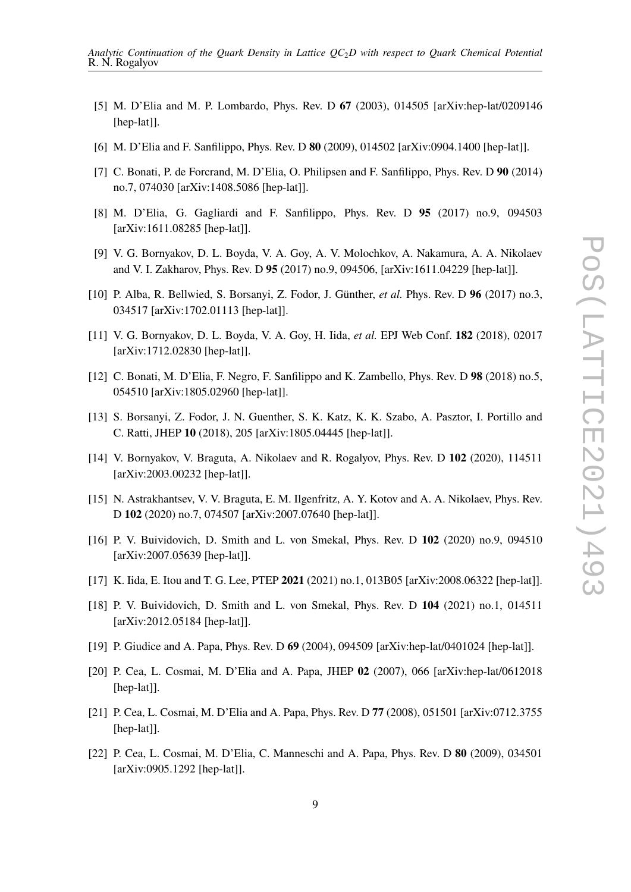- <span id="page-8-0"></span>[5] M. D'Elia and M. P. Lombardo, Phys. Rev. D **67** (2003), 014505 [arXiv:hep-lat/0209146 [hep-lat]].
- [6] M. D'Elia and F. Sanfilippo, Phys. Rev. D **80** (2009), 014502 [arXiv:0904.1400 [hep-lat]].
- [7] C. Bonati, P. de Forcrand, M. D'Elia, O. Philipsen and F. Sanfilippo, Phys. Rev. D **90** (2014) no.7, 074030 [arXiv:1408.5086 [hep-lat]].
- [8] M. D'Elia, G. Gagliardi and F. Sanfilippo, Phys. Rev. D **95** (2017) no.9, 094503 [arXiv:1611.08285 [hep-lat]].
- <span id="page-8-6"></span>[9] V. G. Bornyakov, D. L. Boyda, V. A. Goy, A. V. Molochkov, A. Nakamura, A. A. Nikolaev and V. I. Zakharov, Phys. Rev. D **95** (2017) no.9, 094506, [arXiv:1611.04229 [hep-lat]].
- [10] P. Alba, R. Bellwied, S. Borsanyi, Z. Fodor, J. Günther, *et al.* Phys. Rev. D **96** (2017) no.3, 034517 [arXiv:1702.01113 [hep-lat]].
- [11] V. G. Bornyakov, D. L. Boyda, V. A. Goy, H. Iida, *et al.* EPJ Web Conf. **182** (2018), 02017 [arXiv:1712.02830 [hep-lat]].
- [12] C. Bonati, M. D'Elia, F. Negro, F. Sanfilippo and K. Zambello, Phys. Rev. D **98** (2018) no.5, 054510 [arXiv:1805.02960 [hep-lat]].
- <span id="page-8-1"></span>[13] S. Borsanyi, Z. Fodor, J. N. Guenther, S. K. Katz, K. K. Szabo, A. Pasztor, I. Portillo and C. Ratti, JHEP **10** (2018), 205 [arXiv:1805.04445 [hep-lat]].
- <span id="page-8-2"></span>[14] V. Bornyakov, V. Braguta, A. Nikolaev and R. Rogalyov, Phys. Rev. D **102** (2020), 114511 [arXiv:2003.00232 [hep-lat]].
- [15] N. Astrakhantsev, V. V. Braguta, E. M. Ilgenfritz, A. Y. Kotov and A. A. Nikolaev, Phys. Rev. D **102** (2020) no.7, 074507 [arXiv:2007.07640 [hep-lat]].
- [16] P. V. Buividovich, D. Smith and L. von Smekal, Phys. Rev. D **102** (2020) no.9, 094510 [arXiv:2007.05639 [hep-lat]].
- [17] K. Iida, E. Itou and T. G. Lee, PTEP **2021** (2021) no.1, 013B05 [arXiv:2008.06322 [hep-lat]].
- <span id="page-8-3"></span>[18] P. V. Buividovich, D. Smith and L. von Smekal, Phys. Rev. D **104** (2021) no.1, 014511 [arXiv:2012.05184 [hep-lat]].
- <span id="page-8-4"></span>[19] P. Giudice and A. Papa, Phys. Rev. D **69** (2004), 094509 [arXiv:hep-lat/0401024 [hep-lat]].
- [20] P. Cea, L. Cosmai, M. D'Elia and A. Papa, JHEP **02** (2007), 066 [arXiv:hep-lat/0612018 [hep-lat]].
- [21] P. Cea, L. Cosmai, M. D'Elia and A. Papa, Phys. Rev. D **77** (2008), 051501 [arXiv:0712.3755 [hep-lat]].
- <span id="page-8-5"></span>[22] P. Cea, L. Cosmai, M. D'Elia, C. Manneschi and A. Papa, Phys. Rev. D **80** (2009), 034501 [arXiv:0905.1292 [hep-lat]].